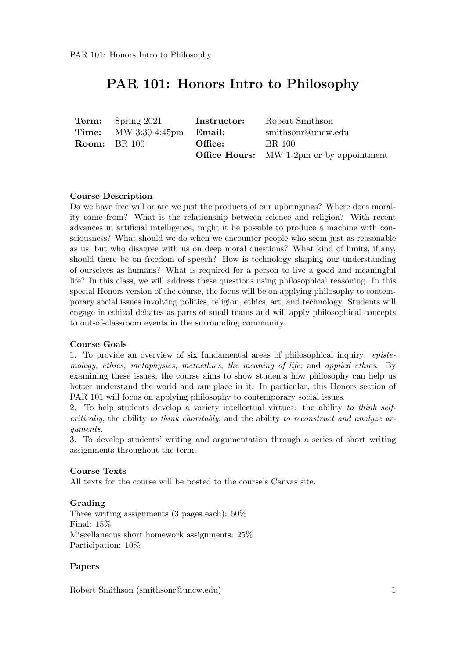|                     | <b>Term:</b> Spring 2021                       | Instructor: | Robert Smithson                                 |
|---------------------|------------------------------------------------|-------------|-------------------------------------------------|
|                     | <b>Time:</b> MW $3:30-4:45$ $pm$ <b>Email:</b> |             | smithsonr@uncw.edu                              |
| <b>Room:</b> BR 100 |                                                | Office:     | BR 100                                          |
|                     |                                                |             | <b>Office Hours:</b> MW 1-2pm or by appointment |

#### Course Description

Do we have free will or are we just the products of our upbringings? Where does morality come from? What is the relationship between science and religion? With recent advances in artificial intelligence, might it be possible to produce a machine with consciousness? What should we do when we encounter people who seem just as reasonable as us, but who disagree with us on deep moral questions? What kind of limits, if any, should there be on freedom of speech? How is technology shaping our understanding of ourselves as humans? What is required for a person to live a good and meaningful life? In this class, we will address these questions using philosophical reasoning. In this special Honors version of the course, the focus will be on applying philosophy to contemporary social issues involving politics, religion, ethics, art, and technology. Students will engage in ethical debates as parts of small teams and will apply philosophical concepts to out-of-classroom events in the surrounding community..

#### Course Goals

1. To provide an overview of six fundamental areas of philosophical inquiry: epistemology, ethics, metaphysics, metaethics, the meaning of life, and applied ethics. By examining these issues, the course aims to show students how philosophy can help us better understand the world and our place in it. In particular, this Honors section of PAR 101 will focus on applying philosophy to contemporary social issues.

2. To help students develop a variety intellectual virtues: the ability to think selfcritically, the ability to think charitably, and the ability to reconstruct and analyze arguments.

3. To develop students' writing and argumentation through a series of short writing assignments throughout the term.

#### Course Texts

All texts for the course will be posted to the course's Canvas site.

#### Grading

Three writing assignments (3 pages each): 50% Final: 15% Miscellaneous short homework assignments: 25% Participation:  $10\%$ 

#### Papers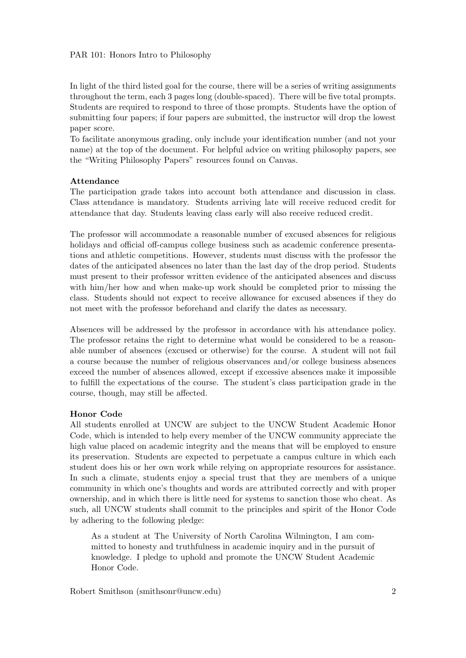In light of the third listed goal for the course, there will be a series of writing assignments throughout the term, each 3 pages long (double-spaced). There will be five total prompts. Students are required to respond to three of those prompts. Students have the option of submitting four papers; if four papers are submitted, the instructor will drop the lowest paper score.

To facilitate anonymous grading, only include your identification number (and not your name) at the top of the document. For helpful advice on writing philosophy papers, see the "Writing Philosophy Papers" resources found on Canvas.

#### Attendance

The participation grade takes into account both attendance and discussion in class. Class attendance is mandatory. Students arriving late will receive reduced credit for attendance that day. Students leaving class early will also receive reduced credit.

The professor will accommodate a reasonable number of excused absences for religious holidays and official off-campus college business such as academic conference presentations and athletic competitions. However, students must discuss with the professor the dates of the anticipated absences no later than the last day of the drop period. Students must present to their professor written evidence of the anticipated absences and discuss with him/her how and when make-up work should be completed prior to missing the class. Students should not expect to receive allowance for excused absences if they do not meet with the professor beforehand and clarify the dates as necessary.

Absences will be addressed by the professor in accordance with his attendance policy. The professor retains the right to determine what would be considered to be a reasonable number of absences (excused or otherwise) for the course. A student will not fail a course because the number of religious observances and/or college business absences exceed the number of absences allowed, except if excessive absences make it impossible to fulfill the expectations of the course. The student's class participation grade in the course, though, may still be affected.

#### Honor Code

All students enrolled at UNCW are subject to the UNCW Student Academic Honor Code, which is intended to help every member of the UNCW community appreciate the high value placed on academic integrity and the means that will be employed to ensure its preservation. Students are expected to perpetuate a campus culture in which each student does his or her own work while relying on appropriate resources for assistance. In such a climate, students enjoy a special trust that they are members of a unique community in which one's thoughts and words are attributed correctly and with proper ownership, and in which there is little need for systems to sanction those who cheat. As such, all UNCW students shall commit to the principles and spirit of the Honor Code by adhering to the following pledge:

As a student at The University of North Carolina Wilmington, I am committed to honesty and truthfulness in academic inquiry and in the pursuit of knowledge. I pledge to uphold and promote the UNCW Student Academic Honor Code.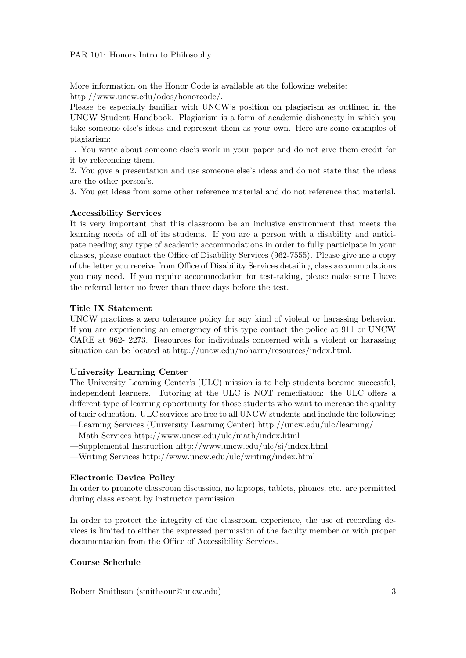More information on the Honor Code is available at the following website: http://www.uncw.edu/odos/honorcode/.

Please be especially familiar with UNCW's position on plagiarism as outlined in the UNCW Student Handbook. Plagiarism is a form of academic dishonesty in which you take someone else's ideas and represent them as your own. Here are some examples of plagiarism:

1. You write about someone else's work in your paper and do not give them credit for it by referencing them.

2. You give a presentation and use someone else's ideas and do not state that the ideas are the other person's.

3. You get ideas from some other reference material and do not reference that material.

#### Accessibility Services

It is very important that this classroom be an inclusive environment that meets the learning needs of all of its students. If you are a person with a disability and anticipate needing any type of academic accommodations in order to fully participate in your classes, please contact the Office of Disability Services (962-7555). Please give me a copy of the letter you receive from Office of Disability Services detailing class accommodations you may need. If you require accommodation for test-taking, please make sure I have the referral letter no fewer than three days before the test.

#### Title IX Statement

UNCW practices a zero tolerance policy for any kind of violent or harassing behavior. If you are experiencing an emergency of this type contact the police at 911 or UNCW CARE at 962- 2273. Resources for individuals concerned with a violent or harassing situation can be located at http://uncw.edu/noharm/resources/index.html.

#### University Learning Center

The University Learning Center's (ULC) mission is to help students become successful, independent learners. Tutoring at the ULC is NOT remediation: the ULC offers a different type of learning opportunity for those students who want to increase the quality of their education. ULC services are free to all UNCW students and include the following:

—Learning Services (University Learning Center) http://uncw.edu/ulc/learning/

—Math Services http://www.uncw.edu/ulc/math/index.html

—Supplemental Instruction http://www.uncw.edu/ulc/si/index.html

—Writing Services http://www.uncw.edu/ulc/writing/index.html

#### Electronic Device Policy

In order to promote classroom discussion, no laptops, tablets, phones, etc. are permitted during class except by instructor permission.

In order to protect the integrity of the classroom experience, the use of recording devices is limited to either the expressed permission of the faculty member or with proper documentation from the Office of Accessibility Services.

### Course Schedule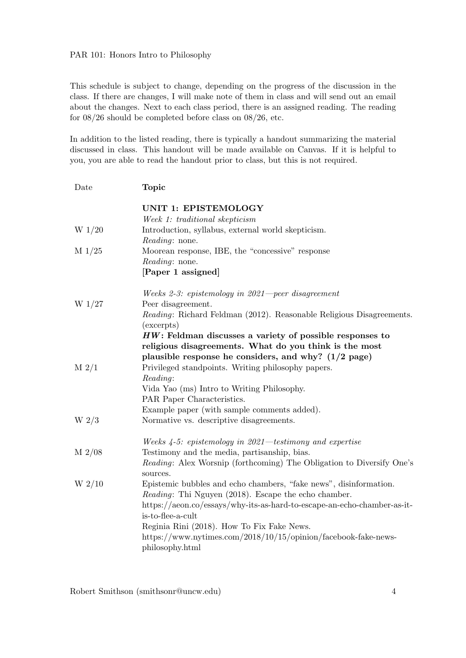This schedule is subject to change, depending on the progress of the discussion in the class. If there are changes, I will make note of them in class and will send out an email about the changes. Next to each class period, there is an assigned reading. The reading for 08/26 should be completed before class on 08/26, etc.

In addition to the listed reading, there is typically a handout summarizing the material discussed in class. This handout will be made available on Canvas. If it is helpful to you, you are able to read the handout prior to class, but this is not required.

| Date             | <b>Topic</b>                                                                                                                                                                   |
|------------------|--------------------------------------------------------------------------------------------------------------------------------------------------------------------------------|
|                  | <b>UNIT 1: EPISTEMOLOGY</b><br>Week 1: traditional skepticism                                                                                                                  |
| W $1/20$         | Introduction, syllabus, external world skepticism.<br><i>Reading:</i> none.                                                                                                    |
| $M\ 1/25$        | Moorean response, IBE, the "concessive" response<br><i>Reading:</i> none.                                                                                                      |
|                  | [Paper 1 assigned]                                                                                                                                                             |
| W $1/27$         | Weeks 2-3: epistemology in $2021$ -peer disagreement<br>Peer disagreement.                                                                                                     |
|                  | Reading: Richard Feldman (2012). Reasonable Religious Disagreements.<br>(excerpts)                                                                                             |
|                  | $HW:$ Feldman discusses a variety of possible responses to<br>religious disagreements. What do you think is the most<br>plausible response he considers, and why? $(1/2$ page) |
| $M$ 2/1          | Privileged standpoints. Writing philosophy papers.<br>Reading:<br>Vida Yao (ms) Intro to Writing Philosophy.<br>PAR Paper Characteristics.                                     |
| W <sub>2/3</sub> | Example paper (with sample comments added).<br>Normative vs. descriptive disagreements.                                                                                        |
|                  | Weeks $4-5$ : epistemology in 2021—testimony and expertise                                                                                                                     |
| $M$ 2/08         | Testimony and the media, partisanship, bias.<br><i>Reading:</i> Alex Worsnip (forthcoming) The Obligation to Diversify One's<br>sources.                                       |
| $W_2/10$         | Epistemic bubbles and echo chambers, "fake news", disinformation.<br><i>Reading</i> : Thi Nguyen (2018). Escape the echo chamber.                                              |
|                  | https://aeon.co/essays/why-its-as-hard-to-escape-an-echo-chamber-as-it-<br>is-to-flee-a-cult                                                                                   |
|                  | Reginia Rini (2018). How To Fix Fake News.                                                                                                                                     |
|                  | https://www.nytimes.com/2018/10/15/opinion/facebook-fake-news-<br>philosophy.html                                                                                              |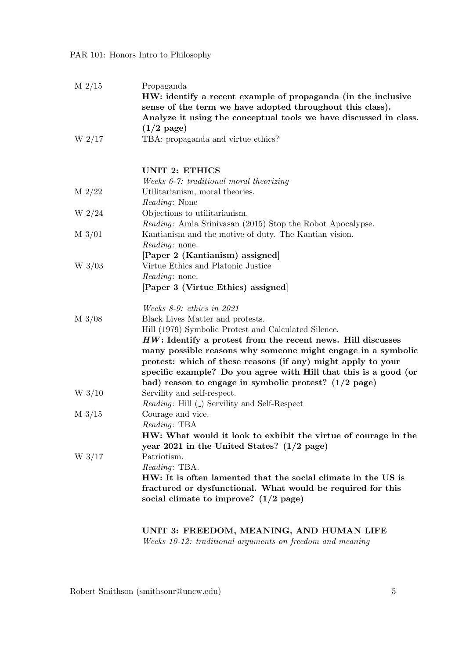| $M$ 2/15        | Propaganda<br>HW: identify a recent example of propaganda (in the inclusive<br>sense of the term we have adopted throughout this class).<br>Analyze it using the conceptual tools we have discussed in class.<br>$(1/2 \text{ page})$                                                                                                                                                         |
|-----------------|-----------------------------------------------------------------------------------------------------------------------------------------------------------------------------------------------------------------------------------------------------------------------------------------------------------------------------------------------------------------------------------------------|
| W $2/17$        | TBA: propaganda and virtue ethics?                                                                                                                                                                                                                                                                                                                                                            |
|                 | <b>UNIT 2: ETHICS</b>                                                                                                                                                                                                                                                                                                                                                                         |
| $M$ 2/22        | Weeks 6-7: traditional moral theorizing<br>Utilitarianism, moral theories.<br><i>Reading:</i> None                                                                                                                                                                                                                                                                                            |
| $W_2/24$        | Objections to utilitarianism.<br><i>Reading:</i> Amia Srinivasan (2015) Stop the Robot Apocalypse.                                                                                                                                                                                                                                                                                            |
| $M\frac{3}{01}$ | Kantianism and the motive of duty. The Kantian vision.<br><i>Reading:</i> none.                                                                                                                                                                                                                                                                                                               |
| W $3/03$        | [Paper 2 (Kantianism) assigned]<br>Virtue Ethics and Platonic Justice<br><i>Reading:</i> none.<br>[Paper 3 (Virtue Ethics) assigned]                                                                                                                                                                                                                                                          |
| $M\frac{3}{08}$ | Weeks $8-9$ : ethics in 2021<br>Black Lives Matter and protests.<br>Hill (1979) Symbolic Protest and Calculated Silence.<br>$HW:$ Identify a protest from the recent news. Hill discusses<br>many possible reasons why someone might engage in a symbolic<br>protest: which of these reasons (if any) might apply to your<br>specific example? Do you agree with Hill that this is a good (or |
| $W$ 3/10        | bad) reason to engage in symbolic protest? $(1/2$ page)<br>Servility and self-respect.<br><i>Reading:</i> Hill (.) Servility and Self-Respect                                                                                                                                                                                                                                                 |
| $M\frac{3}{15}$ | Courage and vice.<br><i>Reading</i> : TBA<br>HW: What would it look to exhibit the virtue of courage in the<br>year 2021 in the United States? $(1/2$ page)                                                                                                                                                                                                                                   |
| W $3/17$        | Patriotism.<br>Reading: TBA.<br>HW: It is often lamented that the social climate in the US is<br>fractured or dysfunctional. What would be required for this<br>social climate to improve? $(1/2$ page)                                                                                                                                                                                       |

UNIT 3: FREEDOM, MEANING, AND HUMAN LIFE Weeks 10-12: traditional arguments on freedom and meaning